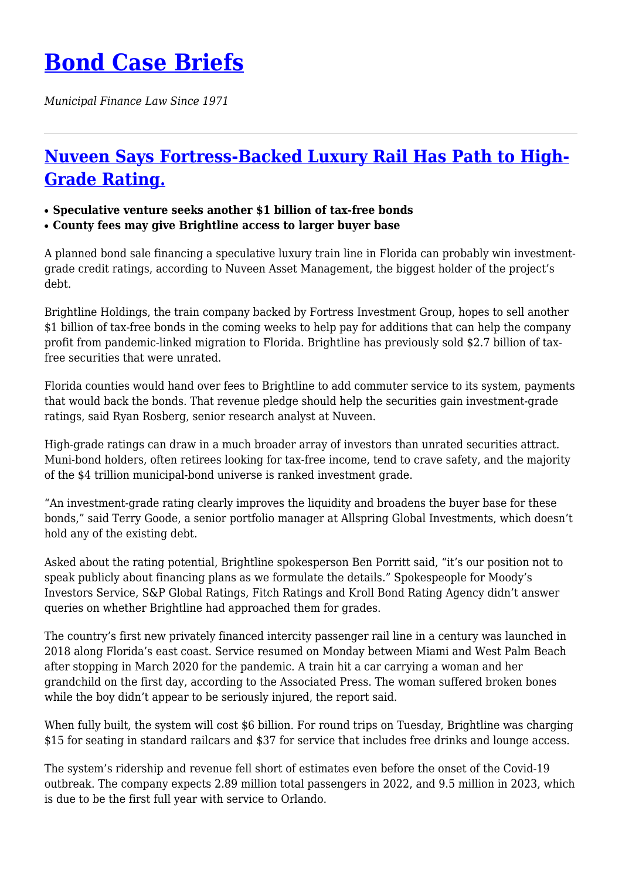## **[Bond Case Briefs](https://bondcasebriefs.com)**

*Municipal Finance Law Since 1971*

## **[Nuveen Says Fortress-Backed Luxury Rail Has Path to High-](https://bondcasebriefs.com/2021/11/16/news/nuveen-says-fortress-backed-luxury-rail-has-path-to-high-grade-rating/)[Grade Rating.](https://bondcasebriefs.com/2021/11/16/news/nuveen-says-fortress-backed-luxury-rail-has-path-to-high-grade-rating/)**

## ● **Speculative venture seeks another \$1 billion of tax-free bonds**

● **County fees may give Brightline access to larger buyer base**

A planned bond sale financing a speculative luxury train line in Florida can probably win investmentgrade credit ratings, according to Nuveen Asset Management, the biggest holder of the project's debt.

Brightline Holdings, the train company backed by Fortress Investment Group, hopes to sell another \$1 billion of tax-free bonds in the coming weeks to help pay for additions that can help the company profit from pandemic-linked migration to Florida. Brightline has previously sold \$2.7 billion of taxfree securities that were unrated.

Florida counties would hand over fees to Brightline to add commuter service to its system, payments that would back the bonds. That revenue pledge should help the securities gain investment-grade ratings, said Ryan Rosberg, senior research analyst at Nuveen.

High-grade ratings can draw in a much broader array of investors than unrated securities attract. Muni-bond holders, often retirees looking for tax-free income, tend to crave safety, and the majority of the \$4 trillion municipal-bond universe is ranked investment grade.

"An investment-grade rating clearly improves the liquidity and broadens the buyer base for these bonds," said Terry Goode, a senior portfolio manager at Allspring Global Investments, which doesn't hold any of the existing debt.

Asked about the rating potential, Brightline spokesperson Ben Porritt said, "it's our position not to speak publicly about financing plans as we formulate the details." Spokespeople for Moody's Investors Service, S&P Global Ratings, Fitch Ratings and Kroll Bond Rating Agency didn't answer queries on whether Brightline had approached them for grades.

The country's first new privately financed intercity passenger rail line in a century was launched in 2018 along Florida's east coast. Service resumed on Monday between Miami and West Palm Beach after stopping in March 2020 for the pandemic. A train hit a car carrying a woman and her grandchild on the first day, according to the Associated Press. The woman suffered broken bones while the boy didn't appear to be seriously injured, the report said.

When fully built, the system will cost \$6 billion. For round trips on Tuesday, Brightline was charging \$15 for seating in standard railcars and \$37 for service that includes free drinks and lounge access.

The system's ridership and revenue fell short of estimates even before the onset of the Covid-19 outbreak. The company expects 2.89 million total passengers in 2022, and 9.5 million in 2023, which is due to be the first full year with service to Orlando.